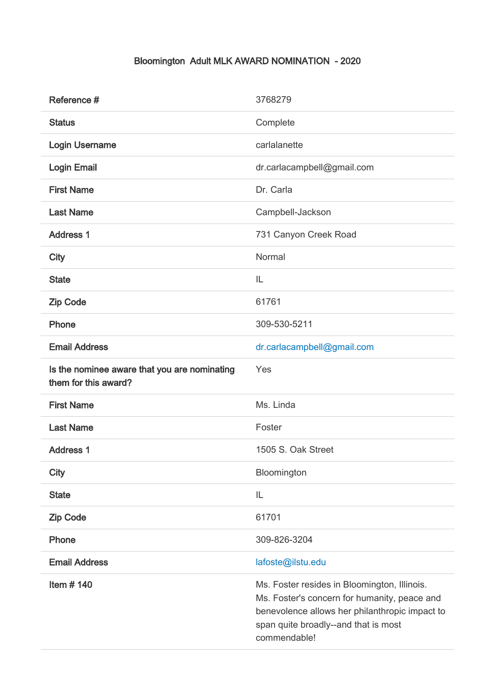## Bloomington Adult MLK AWARD NOMINATION - 2020

| Reference #                                                          | 3768279                                                                                                                                                                                                |
|----------------------------------------------------------------------|--------------------------------------------------------------------------------------------------------------------------------------------------------------------------------------------------------|
| <b>Status</b>                                                        | Complete                                                                                                                                                                                               |
| <b>Login Username</b>                                                | carlalanette                                                                                                                                                                                           |
| <b>Login Email</b>                                                   | dr.carlacampbell@gmail.com                                                                                                                                                                             |
| <b>First Name</b>                                                    | Dr. Carla                                                                                                                                                                                              |
| <b>Last Name</b>                                                     | Campbell-Jackson                                                                                                                                                                                       |
| <b>Address 1</b>                                                     | 731 Canyon Creek Road                                                                                                                                                                                  |
| City                                                                 | Normal                                                                                                                                                                                                 |
| <b>State</b>                                                         | IL                                                                                                                                                                                                     |
| <b>Zip Code</b>                                                      | 61761                                                                                                                                                                                                  |
| Phone                                                                | 309-530-5211                                                                                                                                                                                           |
| <b>Email Address</b>                                                 | dr.carlacampbell@gmail.com                                                                                                                                                                             |
| Is the nominee aware that you are nominating<br>them for this award? | Yes                                                                                                                                                                                                    |
| <b>First Name</b>                                                    | Ms. Linda                                                                                                                                                                                              |
| <b>Last Name</b>                                                     | Foster                                                                                                                                                                                                 |
| <b>Address 1</b>                                                     | 1505 S. Oak Street                                                                                                                                                                                     |
| <b>City</b>                                                          | Bloomington                                                                                                                                                                                            |
| <b>State</b>                                                         | IL                                                                                                                                                                                                     |
| <b>Zip Code</b>                                                      | 61701                                                                                                                                                                                                  |
| Phone                                                                | 309-826-3204                                                                                                                                                                                           |
| <b>Email Address</b>                                                 | lafoste@ilstu.edu                                                                                                                                                                                      |
| Item $#$ 140                                                         | Ms. Foster resides in Bloomington, Illinois.<br>Ms. Foster's concern for humanity, peace and<br>benevolence allows her philanthropic impact to<br>span quite broadly--and that is most<br>commendable! |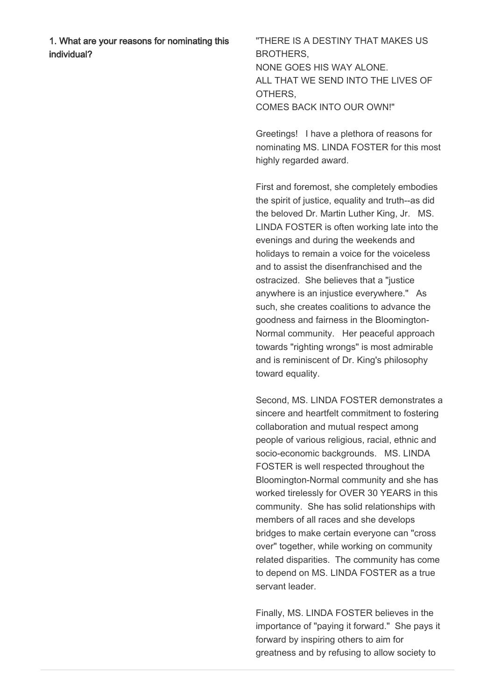1. What are your reasons for nominating this individual?

"THERE IS A DESTINY THAT MAKES US **BROTHERS** NONE GOES HIS WAY ALONE. ALL THAT WE SEND INTO THE LIVES OF OTHERS, COMES BACK INTO OUR OWN!"

Greetings! I have a plethora of reasons for nominating MS. LINDA FOSTER for this most highly regarded award.

First and foremost, she completely embodies the spirit of justice, equality and truth--as did the beloved Dr. Martin Luther King, Jr. MS. LINDA FOSTER is often working late into the evenings and during the weekends and holidays to remain a voice for the voiceless and to assist the disenfranchised and the ostracized. She believes that a "justice anywhere is an injustice everywhere." As such, she creates coalitions to advance the goodness and fairness in the Bloomington-Normal community. Her peaceful approach towards "righting wrongs" is most admirable and is reminiscent of Dr. King's philosophy toward equality.

Second, MS. LINDA FOSTER demonstrates a sincere and heartfelt commitment to fostering collaboration and mutual respect among people of various religious, racial, ethnic and socio-economic backgrounds. MS. LINDA FOSTER is well respected throughout the Bloomington-Normal community and she has worked tirelessly for OVER 30 YEARS in this community. She has solid relationships with members of all races and she develops bridges to make certain everyone can "cross over" together, while working on community related disparities. The community has come to depend on MS. LINDA FOSTER as a true servant leader.

Finally, MS. LINDA FOSTER believes in the importance of "paying it forward." She pays it forward by inspiring others to aim for greatness and by refusing to allow society to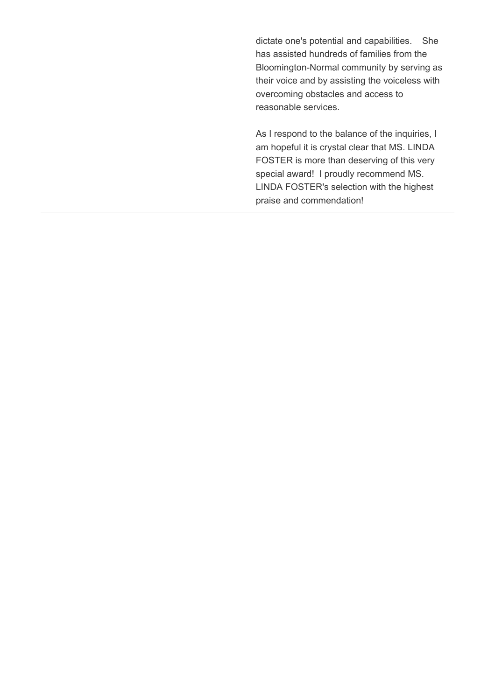dictate one's potential and capabilities. She has assisted hundreds of families from the Bloomington-Normal community by serving as their voice and by assisting the voiceless with overcoming obstacles and access to reasonable services.

As I respond to the balance of the inquiries, I am hopeful it is crystal clear that MS. LINDA FOSTER is more than deserving of this very special award! I proudly recommend MS. LINDA FOSTER's selection with the highest praise and commendation!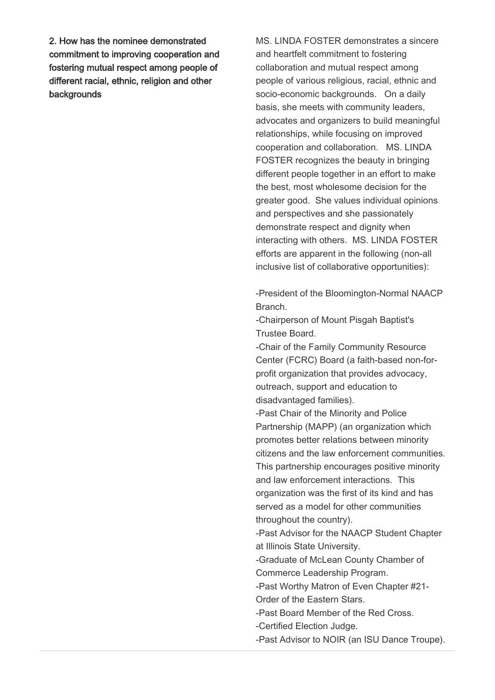2. How has the nominee demonstrated commitment to improving cooperation and fostering mutual respect among people of different racial, ethnic, religion and other backgrounds

MS. LINDA FOSTER demonstrates a sincere and heartfelt commitment to fostering collaboration and mutual respect among people of various religious, racial, ethnic and socio-economic backgrounds. On a daily basis, she meets with community leaders, advocates and organizers to build meaningful relationships, while focusing on improved cooperation and collaboration. MS. LINDA FOSTER recognizes the beauty in bringing different people together in an effort to make the best, most wholesome decision for the greater good. She values individual opinions and perspectives and she passionately demonstrate respect and dignity when interacting with others. MS. LINDA FOSTER efforts are apparent in the following (non-all inclusive list of collaborative opportunities):

-President of the Bloomington-Normal NAACP Branch.

-Chairperson of Mount Pisgah Baptist's Trustee Board.

-Chair of the Family Community Resource Center (FCRC) Board (a faith-based non-forprofit organization that provides advocacy, outreach, support and education to disadvantaged families).

-Past Chair of the Minority and Police Partnership (MAPP) (an organization which promotes better relations between minority citizens and the law enforcement communities. This partnership encourages positive minority and law enforcement interactions. This organization was the first of its kind and has served as a model for other communities throughout the country).

-Past Advisor for the NAACP Student Chapter at Illinois State University.

-Graduate of McLean County Chamber of Commerce Leadership Program.

-Past Worthy Matron of Even Chapter #21- Order of the Eastern Stars.

-Past Board Member of the Red Cross.

-Certified Election Judge.

-Past Advisor to NOIR (an ISU Dance Troupe).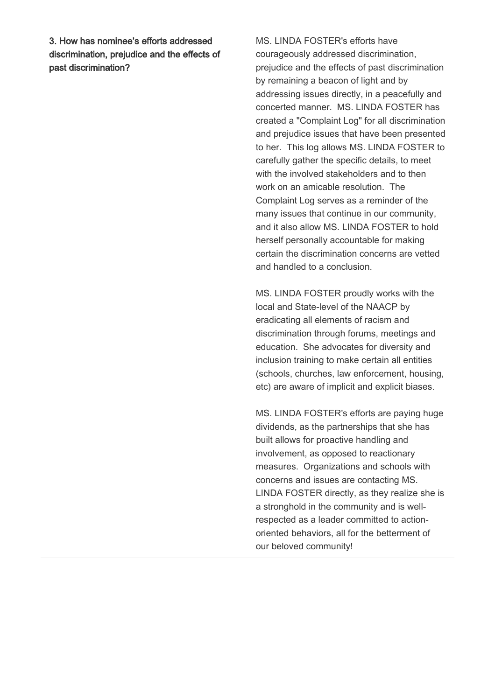3. How has nominee's efforts addressed discrimination, prejudice and the effects of past discrimination?

MS. LINDA FOSTER's efforts have courageously addressed discrimination, prejudice and the effects of past discrimination by remaining a beacon of light and by addressing issues directly, in a peacefully and concerted manner. MS. LINDA FOSTER has created a "Complaint Log" for all discrimination and prejudice issues that have been presented to her. This log allows MS. LINDA FOSTER to carefully gather the specific details, to meet with the involved stakeholders and to then work on an amicable resolution. The Complaint Log serves as a reminder of the many issues that continue in our community, and it also allow MS. LINDA FOSTER to hold herself personally accountable for making certain the discrimination concerns are vetted and handled to a conclusion.

MS. LINDA FOSTER proudly works with the local and State-level of the NAACP by eradicating all elements of racism and discrimination through forums, meetings and education. She advocates for diversity and inclusion training to make certain all entities (schools, churches, law enforcement, housing, etc) are aware of implicit and explicit biases.

MS. LINDA FOSTER's efforts are paying huge dividends, as the partnerships that she has built allows for proactive handling and involvement, as opposed to reactionary measures. Organizations and schools with concerns and issues are contacting MS. LINDA FOSTER directly, as they realize she is a stronghold in the community and is wellrespected as a leader committed to actionoriented behaviors, all for the betterment of our beloved community!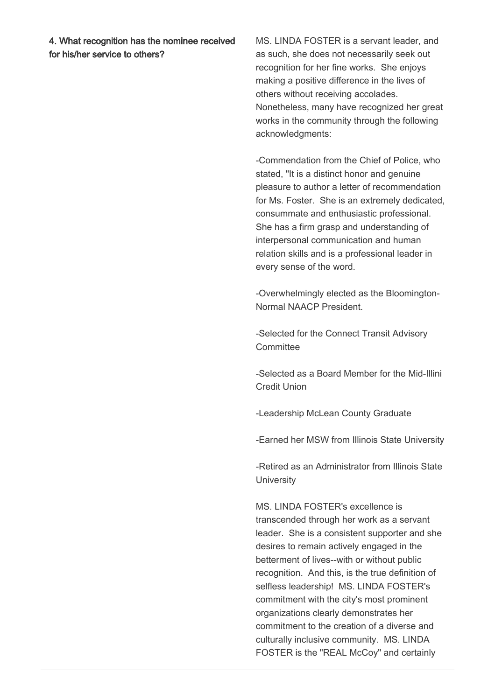4. What recognition has the nominee received for his/her service to others?

MS. LINDA FOSTER is a servant leader, and as such, she does not necessarily seek out recognition for her fine works. She enjoys making a positive difference in the lives of others without receiving accolades. Nonetheless, many have recognized her great works in the community through the following acknowledgments:

-Commendation from the Chief of Police, who stated, "It is a distinct honor and genuine pleasure to author a letter of recommendation for Ms. Foster. She is an extremely dedicated, consummate and enthusiastic professional. She has a firm grasp and understanding of interpersonal communication and human relation skills and is a professional leader in every sense of the word.

-Overwhelmingly elected as the Bloomington-Normal NAACP President.

-Selected for the Connect Transit Advisory **Committee** 

-Selected as a Board Member for the Mid-Illini Credit Union

-Leadership McLean County Graduate

-Earned her MSW from Illinois State University

-Retired as an Administrator from Illinois State **University** 

MS. LINDA FOSTER's excellence is transcended through her work as a servant leader. She is a consistent supporter and she desires to remain actively engaged in the betterment of lives--with or without public recognition. And this, is the true definition of selfless leadership! MS. LINDA FOSTER's commitment with the city's most prominent organizations clearly demonstrates her commitment to the creation of a diverse and culturally inclusive community. MS. LINDA FOSTER is the "REAL McCoy" and certainly